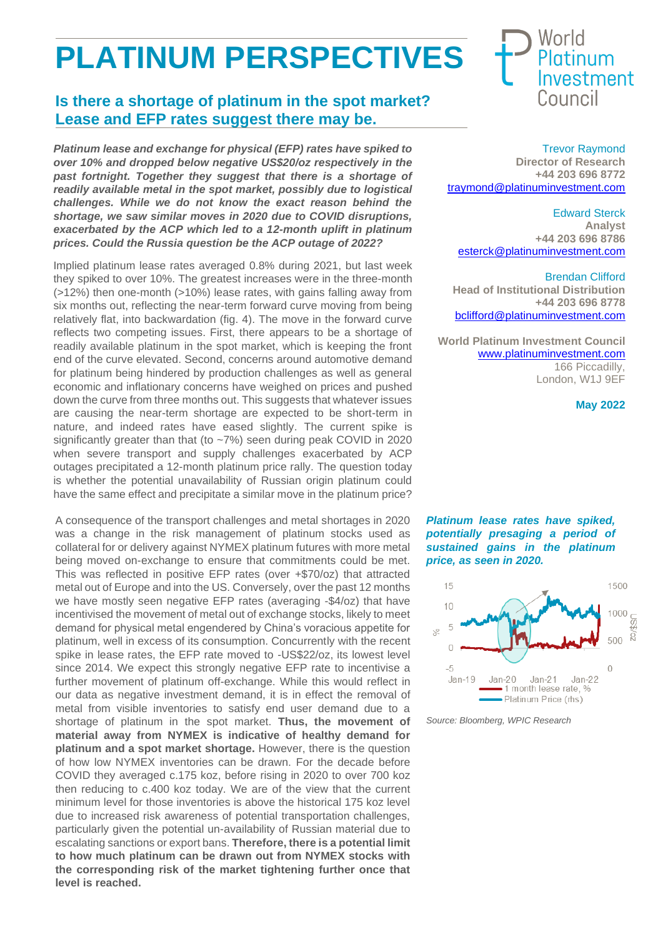## **PLATINUM PERSPECTIVES**

## **Is there a shortage of platinum in the spot market? Lease and EFP rates suggest there may be.**

*Platinum lease and exchange for physical (EFP) rates have spiked to over 10% and dropped below negative US\$20/oz respectively in the past fortnight. Together they suggest that there is a shortage of readily available metal in the spot market, possibly due to logistical challenges. While we do not know the exact reason behind the shortage, we saw similar moves in 2020 due to COVID disruptions, exacerbated by the ACP which led to a 12-month uplift in platinum prices. Could the Russia question be the ACP outage of 2022?*

Implied platinum lease rates averaged 0.8% during 2021, but last week they spiked to over 10%. The greatest increases were in the three-month (>12%) then one-month (>10%) lease rates, with gains falling away from six months out, reflecting the near-term forward curve moving from being relatively flat, into backwardation (fig. 4). The move in the forward curve reflects two competing issues. First, there appears to be a shortage of readily available platinum in the spot market, which is keeping the front end of the curve elevated. Second, concerns around automotive demand for platinum being hindered by production challenges as well as general economic and inflationary concerns have weighed on prices and pushed down the curve from three months out. This suggests that whatever issues are causing the near-term shortage are expected to be short-term in nature, and indeed rates have eased slightly. The current spike is significantly greater than that (to ~7%) seen during peak COVID in 2020 when severe transport and supply challenges exacerbated by ACP outages precipitated a 12-month platinum price rally. The question today is whether the potential unavailability of Russian origin platinum could have the same effect and precipitate a similar move in the platinum price?

A consequence of the transport challenges and metal shortages in 2020 was a change in the risk management of platinum stocks used as collateral for or delivery against NYMEX platinum futures with more metal being moved on-exchange to ensure that commitments could be met. This was reflected in positive EFP rates (over +\$70/oz) that attracted metal out of Europe and into the US. Conversely, over the past 12 months we have mostly seen negative EFP rates (averaging -\$4/oz) that have incentivised the movement of metal out of exchange stocks, likely to meet demand for physical metal engendered by China's voracious appetite for platinum, well in excess of its consumption. Concurrently with the recent spike in lease rates, the EFP rate moved to -US\$22/oz, its lowest level since 2014. We expect this strongly negative EFP rate to incentivise a further movement of platinum off-exchange. While this would reflect in our data as negative investment demand, it is in effect the removal of metal from visible inventories to satisfy end user demand due to a shortage of platinum in the spot market. **Thus, the movement of material away from NYMEX is indicative of healthy demand for platinum and a spot market shortage.** However, there is the question of how low NYMEX inventories can be drawn. For the decade before COVID they averaged c.175 koz, before rising in 2020 to over 700 koz then reducing to c.400 koz today. We are of the view that the current minimum level for those inventories is above the historical 175 koz level due to increased risk awareness of potential transportation challenges, particularly given the potential un-availability of Russian material due to escalating sanctions or export bans. **Therefore, there is a potential limit to how much platinum can be drawn out from NYMEX stocks with the corresponding risk of the market tightening further once that level is reached.**



Trevor Raymond **Director of Research +44 203 696 8772** [traymond@platinuminvestment.com](mailto:traymond@platinuminvestment.com)

Edward Sterck **Analyst +44 203 696 8786** [esterck@platinuminvestment.com](mailto:esterck@platinuminvestment.com)

Brendan Clifford **Head of Institutional Distribution +44 203 696 8778** [bclifford@platinuminvestment.com](mailto:bclifford@platinuminvestment.com)

**World Platinum Investment Council** [www.platinuminvestment.com](http://www.platinuminvestment.com/) 166 Piccadilly, London, W1J 9EF

**May 2022**





*Source: Bloomberg, WPIC Research*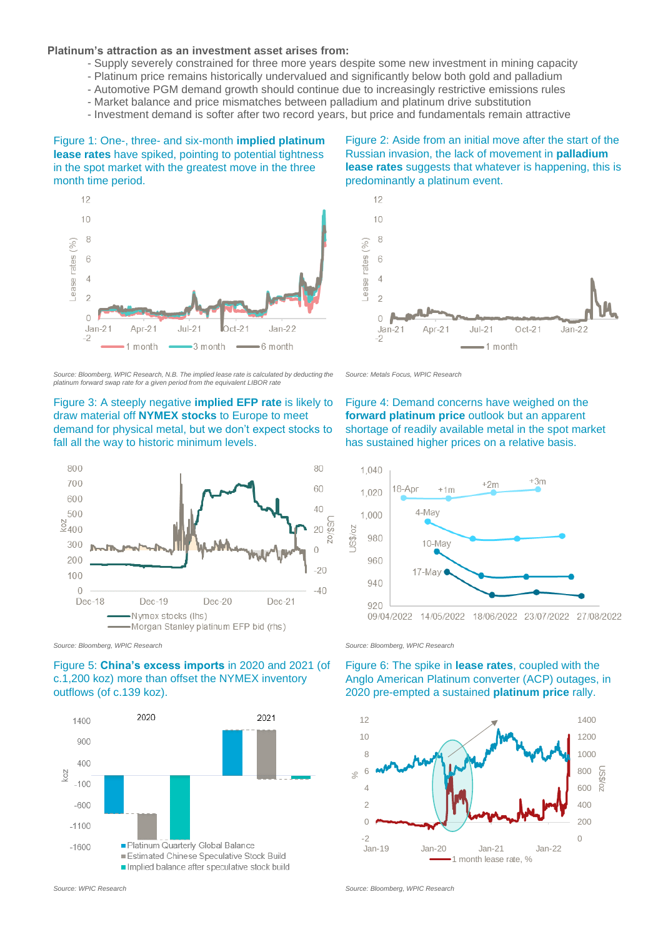## **Platinum's attraction as an investment asset arises from:**

- Supply severely constrained for three more years despite some new investment in mining capacity
- Platinum price remains historically undervalued and significantly below both gold and palladium
- Automotive PGM demand growth should continue due to increasingly restrictive emissions rules
- Market balance and price mismatches between palladium and platinum drive substitution
- Investment demand is softer after two record years, but price and fundamentals remain attractive

Figure 1: One-, three- and six-month **implied platinum lease rates** have spiked, pointing to potential tightness in the spot market with the greatest move in the three month time period.



*Source: Bloomberg, WPIC Research, N.B. The implied lease rate is calculated by deducting the platinum forward swap rate for a given period from the equivalent LIBOR rate*





*Source: Bloomberg, WPIC Research Source: Bloomberg, WPIC Research*

Figure 5: **China's excess imports** in 2020 and 2021 (of c.1,200 koz) more than offset the NYMEX inventory outflows (of c.139 koz).



Figure 2: Aside from an initial move after the start of the Russian invasion, the lack of movement in **palladium lease rates** suggests that whatever is happening, this is predominantly a platinum event.



*Source: Metals Focus, WPIC Research*

Figure 4: Demand concerns have weighed on the **forward platinum price** outlook but an apparent shortage of readily available metal in the spot market has sustained higher prices on a relative basis.



Figure 6: The spike in **lease rates**, coupled with the Anglo American Platinum converter (ACP) outages, in 2020 pre-empted a sustained **platinum price** rally.



*Source: WPIC Research Source: Bloomberg, WPIC Research*